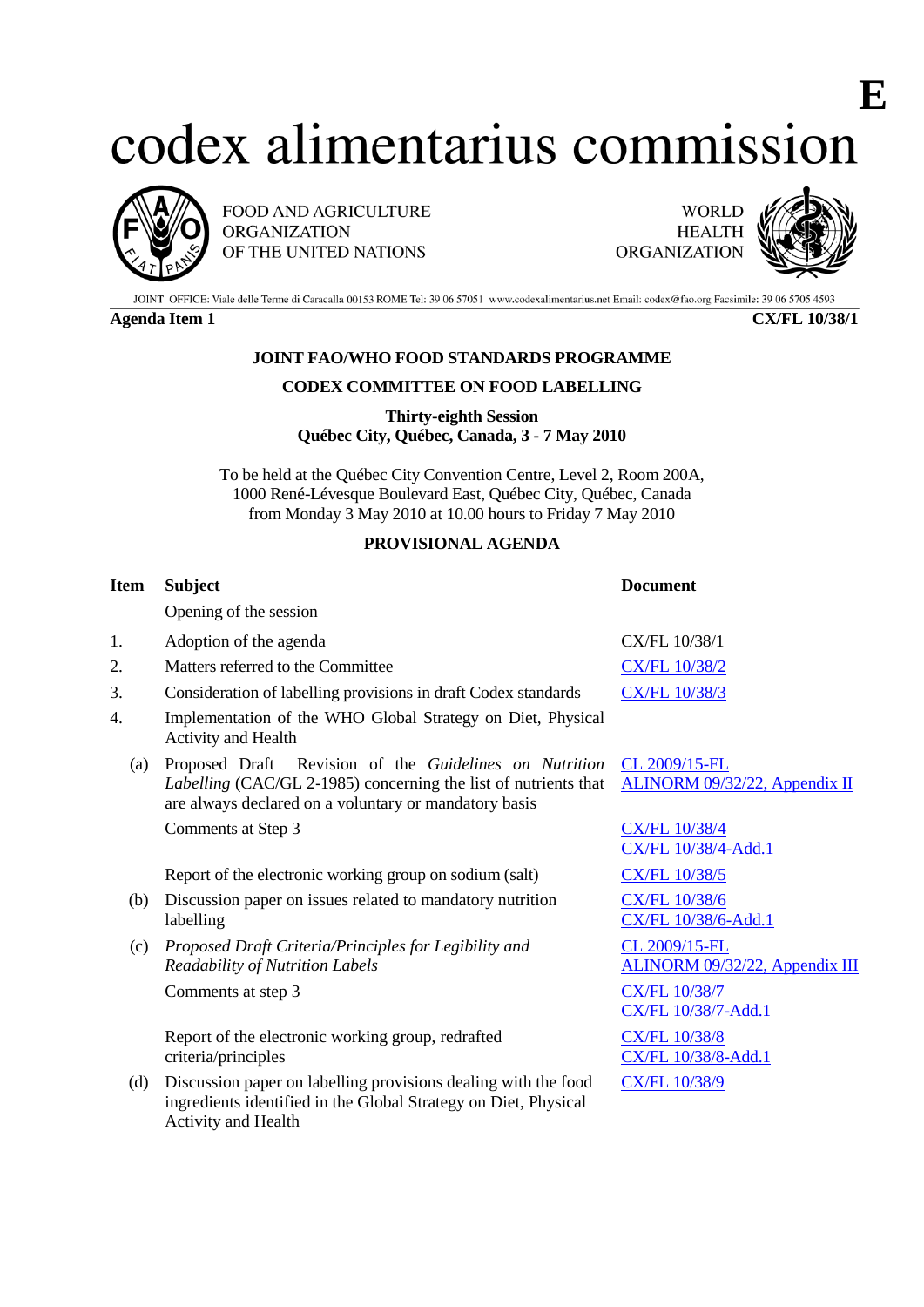# codex alimentarius commission



FOOD AND AGRICULTURE **ORGANIZATION** OF THE UNITED NATIONS

**WORLD HEALTH ORGANIZATION** 



**E**

JOINT OFFICE: Viale delle Terme di Caracalla 00153 ROME Tel: 39 06 57051 www.codexalimentarius.net Email: codex@fao.org Facsimile: 39 06 5705 4593

**Agenda Item 1 CX/FL 10/38/1**

## **JOINT FAO/WHO FOOD STANDARDS PROGRAMME**

#### **CODEX COMMITTEE ON FOOD LABELLING**

**Thirty-eighth Session Québec City, Québec, Canada, 3 - 7 May 2010**

To be held at the Québec City Convention Centre, Level 2, Room 200A, 1000 René-Lévesque Boulevard East, Québec City, Québec, Canada from Monday 3 May 2010 at 10.00 hours to Friday 7 May 2010

## **PROVISIONAL AGENDA**

| <b>Subject</b>                                                                                                                                                                     | <b>Document</b>                                 |
|------------------------------------------------------------------------------------------------------------------------------------------------------------------------------------|-------------------------------------------------|
| Opening of the session                                                                                                                                                             |                                                 |
| Adoption of the agenda                                                                                                                                                             | CX/FL 10/38/1                                   |
| Matters referred to the Committee                                                                                                                                                  | <b>CX/FL 10/38/2</b>                            |
| Consideration of labelling provisions in draft Codex standards                                                                                                                     | <b>CX/FL 10/38/3</b>                            |
| Implementation of the WHO Global Strategy on Diet, Physical<br>Activity and Health                                                                                                 |                                                 |
| Proposed Draft Revision of the Guidelines on Nutrition<br>Labelling (CAC/GL 2-1985) concerning the list of nutrients that<br>are always declared on a voluntary or mandatory basis | CL 2009/15-FL<br>ALINORM 09/32/22, Appendix II  |
| Comments at Step 3                                                                                                                                                                 | <b>CX/FL 10/38/4</b><br>CX/FL 10/38/4-Add.1     |
| Report of the electronic working group on sodium (salt)                                                                                                                            | <b>CX/FL 10/38/5</b>                            |
| Discussion paper on issues related to mandatory nutrition<br>labelling                                                                                                             | <b>CX/FL 10/38/6</b><br>CX/FL 10/38/6-Add.1     |
| Proposed Draft Criteria/Principles for Legibility and<br><b>Readability of Nutrition Labels</b>                                                                                    | CL 2009/15-FL<br>ALINORM 09/32/22, Appendix III |
| Comments at step 3                                                                                                                                                                 | <b>CX/FL 10/38/7</b><br>CX/FL 10/38/7-Add.1     |
| Report of the electronic working group, redrafted<br>criteria/principles                                                                                                           | <b>CX/FL 10/38/8</b><br>CX/FL 10/38/8-Add.1     |
| Discussion paper on labelling provisions dealing with the food<br>ingredients identified in the Global Strategy on Diet, Physical<br>Activity and Health                           | CX/FL 10/38/9                                   |
|                                                                                                                                                                                    |                                                 |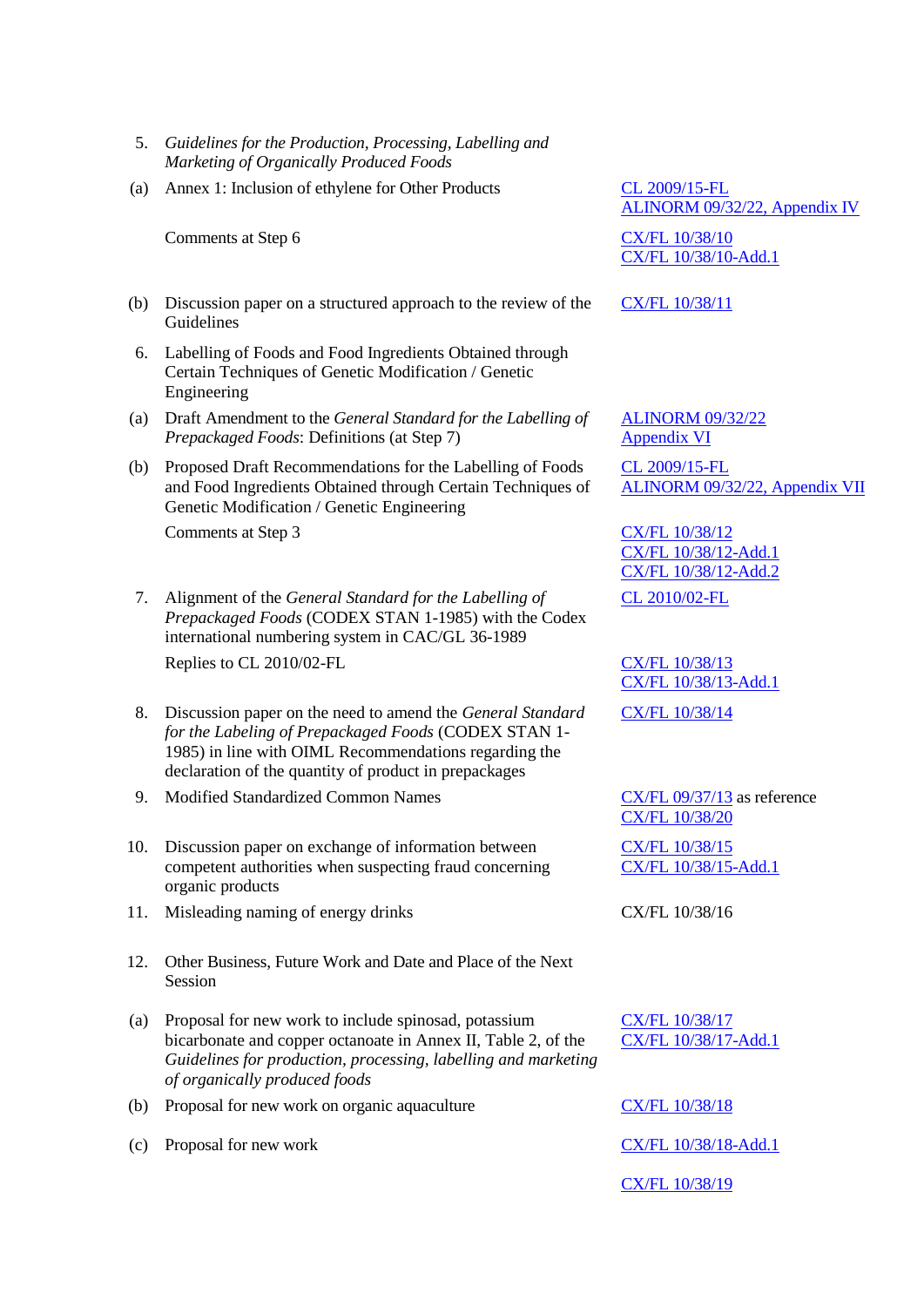- 5. *Guidelines for the Production, Processing, Labelling and Marketing of Organically Produced Foods*
- (a) Annex 1: Inclusion of ethylene for Other Products [CL 2009/15-FL](ftp://ftp.fao.org/codex/circular_letters/cxcl2009/cl09_15e.pdf)

Comments at Step 6 [CX/FL 10/38/10](ftp://ftp.fao.org/codex/Meetings/CCFL/ccfl38/fl38_10e.pdf)

- (b) Discussion paper on a structured approach to the review of the Guidelines
- 6. Labelling of Foods and Food Ingredients Obtained through Certain Techniques of Genetic Modification / Genetic Engineering
- (a) Draft Amendment to the *General Standard for the Labelling of Prepackaged Foods*: Definitions (at Step 7)
- (b) Proposed Draft Recommendations for the Labelling of Foods and Food Ingredients Obtained through Certain Techniques of Genetic Modification / Genetic Engineering

Comments at Step 3 [CX/FL 10/38/12](ftp://ftp.fao.org/codex/Meetings/CCFL/ccfl38/fl38_12e.pdf)

- 7. Alignment of the *General Standard for the Labelling of Prepackaged Foods* (CODEX STAN 1-1985) with the Codex international numbering system in CAC/GL 36-1989 Replies to CL 2010/02-FL [CX/FL 10/38/13](ftp://ftp.fao.org/codex/Meetings/CCFL/ccfl38/fl38_13e.pdf)
- 8. Discussion paper on the need to amend the *General Standard for the Labeling of Prepackaged Foods* (CODEX STAN 1- 1985) in line with OIML Recommendations regarding the declaration of the quantity of product in prepackages
- 9. Modified Standardized Common Names [CX/FL 09/37/13](ftp://ftp.fao.org/codex/Meetings/CCFL/ccfl37/fl37_13e.pdf) as reference
- 10. Discussion paper on exchange of information between competent authorities when suspecting fraud concerning organic products
- 11. Misleading naming of energy drinks CX/FL 10/38/16
- 12. Other Business, Future Work and Date and Place of the Next Session
- (a) Proposal for new work to include spinosad, potassium bicarbonate and copper octanoate in Annex II, Table 2, of the *Guidelines for production, processing, labelling and marketing of organically produced foods*
- (b) Proposal for new work on organic aquaculture
- (c) Proposal for new work

[ALINORM 09/32/22, Appendix IV](ftp://ftp.fao.org/codex/Reports/alinorm09/al32_22e.pdf)

[CX/FL 10/38/10-Add.1](ftp://ftp.fao.org/codex/Meetings/CCFL/ccfl38/fl38_10_add1e.pdf)

[CX/FL 10/38/11](ftp://ftp.fao.org/codex/Meetings/CCFL/ccfl38/fl38_11e.pdf)

[ALINORM 09/32/22](ftp://ftp.fao.org/codex/Reports/alinorm09/al32_22e.pdf) [Appendix VI](ftp://ftp.fao.org/codex/Reports/alinorm09/al32_22e.pdf)

[CL 2009/15-FL](ftp://ftp.fao.org/codex/circular_letters/cxcl2009/cl09_15e.pdf) [ALINORM 09/32/22, Appendix VII](ftp://ftp.fao.org/codex/Reports/alinorm09/al32_22e.pdf)

[CX/FL 10/38/12-Add.1](ftp://ftp.fao.org/codex/Meetings/CCFL/ccfl38/fl38_12_Add1e.pdf) [CX/FL 10/38/12-Add.2](ftp://ftp.fao.org/codex/Meetings/CCFL/ccfl38/fl38_12_add2e.pdf) [CL 2010/02-FL](ftp://ftp.fao.org/codex/circular_letters/cxcl2010/cl10_02e.pdf)

[CX/FL 10/38/13-Add.1](ftp://ftp.fao.org/codex/Meetings/CCFL/ccfl38/fl38_13_add1e.pdf)

[CX/FL 10/38/14](ftp://ftp.fao.org/codex/Meetings/CCFL/ccfl38/fl38_14e.pdf)

[CX/FL 10/38/20](ftp://ftp.fao.org/codex/Meetings/CCFL/ccfl38/fl38_20e.pdf)

[CX/FL 10/38/15](ftp://ftp.fao.org/codex/Meetings/CCFL/ccfl38/fl38_15e.pdf) [CX/FL 10/38/15-Add.1](ftp://ftp.fao.org/codex/Meetings/CCFL/ccfl38/fl38_15_add1e.pdf)

[CX/FL 10/38/17](ftp://ftp.fao.org/codex/Meetings/CCFL/ccfl38/fl38_17e.pdf) [CX/FL 10/38/17-Add.1](ftp://ftp.fao.org/codex/Meetings/CCFL/ccfl38/fl38_17_add1e.pdf)

[CX/FL 10/38/18](ftp://ftp.fao.org/codex/Meetings/CCFL/ccfl38/fl38_18e.pdf) [CX/FL 10/38/18-Add.1](ftp://ftp.fao.org/codex/Meetings/CCFL/ccfl38/fl38_18_add1e.pdf) [CX/FL 10/38/19](ftp://ftp.fao.org/codex/Meetings/CCFL/ccfl38/fl38_19e.pdf)